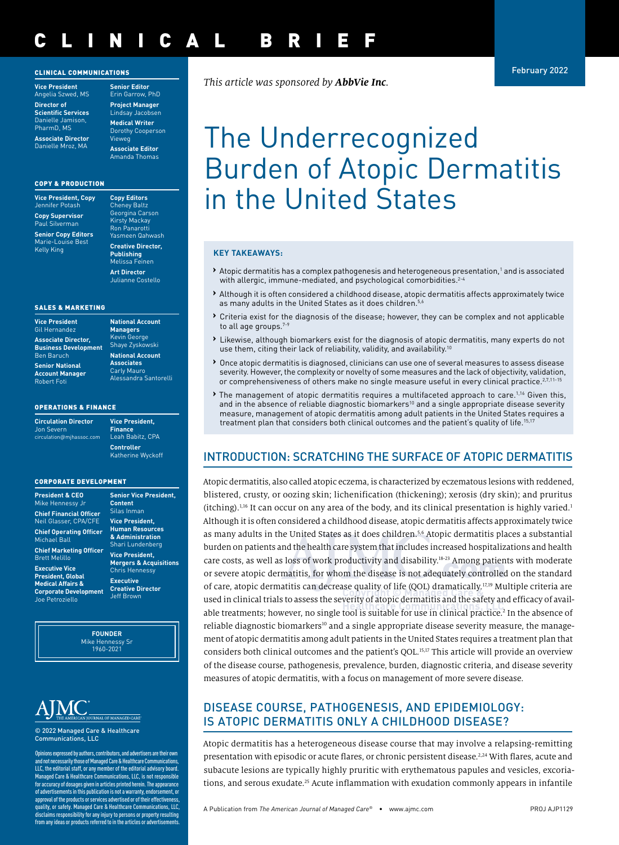## CLINICAL BRIEF

#### CLINICAL COMMUNICATIONS

**Vice President** Angelia Szwed, MS **Director of Scientific Services** Danielle Jamison, PharmD, MS

**Associate Director** Danielle Mroz, MA

**Senior Editor** Erin Garrow, PhD **Project Manager** ndsay Jacobser **Medical Writer** Dorothy Cooperson Vieweg **Associate Editor**

Amanda Thomas

#### COPY & PRODUCTION

| <u>Vice President, Copy</u><br>Jennifer Potash                |
|---------------------------------------------------------------|
| <b>Copy Supervisor</b><br>Paul Silverman                      |
| <b>Senior Copy Editors</b><br>Marie-Louise Best<br>Kelly King |

**Copy Editors Cheney Baltz**<br>Georgina Carson Georgina Carson Kirsty Mackay Ron Panarotti Yasmeen Qahwash **Creative Director, Publishing** Melissa Feinen **Art Director** Julianne Costello

#### SALES & MARKETING

| <b>Vice President</b>                            | <b>Nation</b>                  |
|--------------------------------------------------|--------------------------------|
| <b>Gil Hernandez</b>                             | <b>Mana</b>                    |
| <b>Associate Director.</b>                       | <b>Kevin</b>                   |
| <b>Business Development</b>                      | Shaye                          |
| <b>Ben Baruch</b>                                | <b>Nation</b>                  |
| <b>Senior National</b><br><b>Account Manager</b> | Assoc<br>Carly<br><b>Aless</b> |

#### **National Account Associates** Aauro ndra Santorelli

**National Account Managers** deorge **Zyskowski** 

#### OPERATIONS & FINANCE

| <b>Circulation Director</b><br>Jon Severn |
|-------------------------------------------|
| circulation@mjhassoc.com                  |

**Vice President, Finance** Leah Babitz, CPA **Controller**  Katherine Wyckoff

**Senior Vice President,** 

**Content** Silas Inman **Vice President, Human Resources & Administration**

#### CORPORATE DEVELOPMENT

| <b>President &amp; CEO</b><br>Mike Hennessy Jr                                                                    |
|-------------------------------------------------------------------------------------------------------------------|
| <b>Chief Financial Officer</b><br><b>Neil Glasser, CPA/CFE</b>                                                    |
| <b>Chief Operating Officer</b><br>Michael Ball                                                                    |
| <b>Chief Marketing Officer</b><br><b>Brett Melillo</b>                                                            |
| <b>Executive Vice</b><br><b>President, Global</b><br><b>Medical Affairs &amp;</b><br><b>Corporate Development</b> |

Joe Petroziello

Shari Lundenberg **Vice President, Mergers & Acquisitions** Chris Hennessy **Executive Creative Director** Jeff Brown

**FOUNDER** Mike Hennessy Sr 1960-2021

© 2022 Managed Care & Healthcare Communications, LLC

Opinions expressed by authors, contributors, and advertisers are their own and not necessarily those of Managed Care & Healthcare Communications, LLC, the editorial staff, or any member of the editorial advisory board. Managed Care & Healthcare Communications, LLC, is not responsible for accuracy of dosages given in articles printed herein. The appearance of advertisements in this publication is not a warranty, endorsement, or approval of the products or services advertised or of their effectiveness, quality, or safety. Managed Care & Healthcare Communications, LLC, disclaims responsibility for any injury to persons or property resulting from any ideas or products referred to in the articles or advertisements.

*This article was sponsored by AbbVie Inc.*

# The Underrecognized Burden of Atopic Dermatitis in the United States

#### **KEY TAKEAWAYS:**

- > Atopic dermatitis has a complex pathogenesis and heterogeneous presentation,<sup>1</sup> and is associated with allergic, immune-mediated, and psychological comorbidities.<sup>2-4</sup>
- **›** Although it is often considered a childhood disease, atopic dermatitis affects approximately twice as many adults in the United States as it does children.<sup>5,6</sup>
- **›** Criteria exist for the diagnosis of the disease; however, they can be complex and not applicable to all age groups.<sup>7-1</sup>
- **›** Likewise, although biomarkers exist for the diagnosis of atopic dermatitis, many experts do not use them, citing their lack of reliability, validity, and availability.<sup>10</sup>
- **›** Once atopic dermatitis is diagnosed, clinicians can use one of several measures to assess disease severity. However, the complexity or novelty of some measures and the lack of objectivity, validation, or comprehensiveness of others make no single measure useful in every clinical practice.<sup>2,7,11-15</sup>
- **The management of atopic dermatitis requires a multifaceted approach to care.<sup>1,16</sup> Given this,** and in the absence of reliable diagnostic biomarkers<sup>10</sup> and a single appropriate disease severity measure, management of atopic dermatitis among adult patients in the United States requires a treatment plan that considers both clinical outcomes and the patient's quality of life.<sup>15,17</sup>

## INTRODUCTION: SCRATCHING THE SURFACE OF ATOPIC DERMATITIS

Atopic dermatitis, also called atopic eczema, is characterized by eczematous lesions with reddened, blistered, crusty, or oozing skin; lichenification (thickening); xerosis (dry skin); and pruritus  $($ itching).<sup>1,16</sup> It can occur on any area of the body, and its clinical presentation is highly varied.<sup>1</sup>Although it is often considered a childhood disease, atopic dermatitis affects approximately twice as many adults in the United States as it does children.<sup>5,6</sup> Atopic dermatitis places a substantial burden on patients and the health care system that includes increased hospitalizations and health care costs, as well as loss of work productivity and disability.<sup>18-23</sup> Among patients with moderate or severe atopic dermatitis, for whom the disease is not adequately controlled on the standard of care, atopic dermatitis can decrease quality of life (QOL) dramatically.<sup>17,19</sup> Multiple criteria are used in clinical trials to assess the severity of atopic dermatitis and the safety and efficacy of available treatments; however, no single tool is suitable for use in clinical practice.<sup>2</sup> In the absence of reliable diagnostic biomarkers<sup>10</sup> and a single appropriate disease severity measure, the management of atopic dermatitis among adult patients in the United States requires a treatment plan that considers both clinical outcomes and the patient's QOL.<sup>15,17</sup> This article will provide an overview of the disease course, pathogenesis, prevalence, burden, diagnostic criteria, and disease severity measures of atopic dermatitis, with a focus on management of more severe disease.

## DISEASE COURSE, PATHOGENESIS, AND EPIDEMIOLOGY: IS ATOPIC DERMATITIS ONLY A CHILDHOOD DISEASE?

Atopic dermatitis has a heterogeneous disease course that may involve a relapsing-remitting presentation with episodic or acute flares, or chronic persistent disease.2,24 With flares, acute and subacute lesions are typically highly pruritic with erythematous papules and vesicles, excoriations, and serous exudate.<sup>25</sup> Acute inflammation with exudation commonly appears in infantile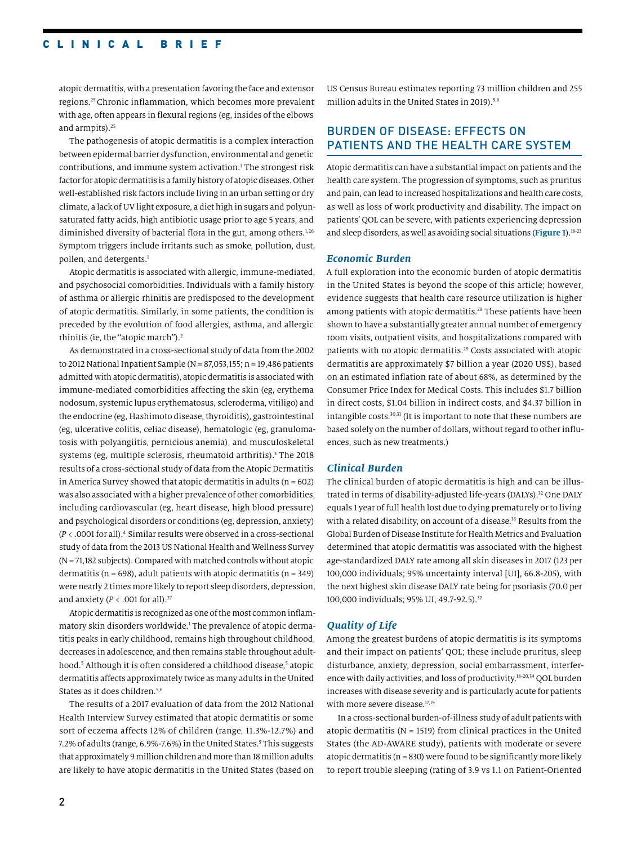## CLINICAL BRIEF

atopic dermatitis, with a presentation favoring the face and extensor regions.25 Chronic inflammation, which becomes more prevalent with age, often appears in flexural regions (eg, insides of the elbows and armpits).<sup>25</sup>

The pathogenesis of atopic dermatitis is a complex interaction between epidermal barrier dysfunction, environmental and genetic contributions, and immune system activation.<sup>1</sup> The strongest risk factor for atopic dermatitis is a family history of atopic diseases. Other well-established risk factors include living in an urban setting or dry climate, a lack of UV light exposure, a diet high in sugars and polyunsaturated fatty acids, high antibiotic usage prior to age 5 years, and diminished diversity of bacterial flora in the gut, among others.<sup>1,26</sup> Symptom triggers include irritants such as smoke, pollution, dust, pollen, and detergents.<sup>1</sup>

Atopic dermatitis is associated with allergic, immune-mediated, and psychosocial comorbidities. Individuals with a family history of asthma or allergic rhinitis are predisposed to the development of atopic dermatitis. Similarly, in some patients, the condition is preceded by the evolution of food allergies, asthma, and allergic rhinitis (ie, the "atopic march").2

As demonstrated in a cross-sectional study of data from the 2002 to 2012 National Inpatient Sample ( $N = 87,053,155$ ; n = 19,486 patients admitted with atopic dermatitis), atopic dermatitis is associated with immune-mediated comorbidities affecting the skin (eg, erythema nodosum, systemic lupus erythematosus, scleroderma, vitiligo) and the endocrine (eg, Hashimoto disease, thyroiditis), gastrointestinal (eg, ulcerative colitis, celiac disease), hematologic (eg, granulomatosis with polyangiitis, pernicious anemia), and musculoskeletal systems (eg, multiple sclerosis, rheumatoid arthritis).<sup>3</sup> The 2018 results of a cross-sectional study of data from the Atopic Dermatitis in America Survey showed that atopic dermatitis in adults ( $n = 602$ ) was also associated with a higher prevalence of other comorbidities, including cardiovascular (eg, heart disease, high blood pressure) and psychological disorders or conditions (eg, depression, anxiety) (*P* < .0001 for all).4 Similar results were observed in a cross-sectional study of data from the 2013 US National Health and Wellness Survey (N = 71,182 subjects). Compared with matched controls without atopic dermatitis ( $n = 698$ ), adult patients with atopic dermatitis ( $n = 349$ ) were nearly 2 times more likely to report sleep disorders, depression, and anxiety ( $P < .001$  for all).<sup>27</sup>

Atopic dermatitis is recognized as one of the most common inflammatory skin disorders worldwide.<sup>1</sup> The prevalence of atopic dermatitis peaks in early childhood, remains high throughout childhood, decreases in adolescence, and then remains stable throughout adulthood.<sup>5</sup> Although it is often considered a childhood disease,<sup>5</sup> atopic dermatitis affects approximately twice as many adults in the United States as it does children.<sup>5,6</sup>

The results of a 2017 evaluation of data from the 2012 National Health Interview Survey estimated that atopic dermatitis or some sort of eczema affects 12% of children (range, 11.3%-12.7%) and 7.2% of adults (range, 6.9%-7.6%) in the United States.<sup>5</sup> This suggests that approximately 9 million children and more than 18 million adults are likely to have atopic dermatitis in the United States (based on US Census Bureau estimates reporting 73 million children and 255 million adults in the United States in 2019).<sup>5,6</sup>

## BURDEN OF DISEASE: EFFECTS ON PATIENTS AND THE HEALTH CARE SYSTEM

Atopic dermatitis can have a substantial impact on patients and the health care system. The progression of symptoms, such as pruritus and pain, can lead to increased hospitalizations and health care costs, as well as loss of work productivity and disability. The impact on patients' QOL can be severe, with patients experiencing depression and sleep disorders, as well as avoiding social situations (**Figure 1**).18-23

#### *Economic Burden*

A full exploration into the economic burden of atopic dermatitis in the United States is beyond the scope of this article; however, evidence suggests that health care resource utilization is higher among patients with atopic dermatitis.<sup>28</sup> These patients have been shown to have a substantially greater annual number of emergency room visits, outpatient visits, and hospitalizations compared with patients with no atopic dermatitis.<sup>29</sup> Costs associated with atopic dermatitis are approximately \$7 billion a year (2020 US\$), based on an estimated inflation rate of about 68%, as determined by the Consumer Price Index for Medical Costs. This includes \$1.7 billion in direct costs, \$1.04 billion in indirect costs, and \$4.37 billion in intangible costs.30,31 (It is important to note that these numbers are based solely on the number of dollars, without regard to other influences, such as new treatments.)

#### *Clinical Burden*

The clinical burden of atopic dermatitis is high and can be illustrated in terms of disability-adjusted life-years (DALYs).<sup>32</sup> One DALY equals 1 year of full health lost due to dying prematurely or to living with a related disability, on account of a disease.<sup>33</sup> Results from the Global Burden of Disease Institute for Health Metrics and Evaluation determined that atopic dermatitis was associated with the highest age-standardized DALY rate among all skin diseases in 2017 (123 per 100,000 individuals; 95% uncertainty interval [UI], 66.8-205), with the next highest skin disease DALY rate being for psoriasis (70.0 per 100,000 individuals; 95% UI, 49.7-92.5).<sup>32</sup>

#### *Quality of Life*

Among the greatest burdens of atopic dermatitis is its symptoms and their impact on patients' QOL; these include pruritus, sleep disturbance, anxiety, depression, social embarrassment, interference with daily activities, and loss of productivity.18-20,34 QOL burden increases with disease severity and is particularly acute for patients with more severe disease.<sup>17,19</sup>

In a cross-sectional burden-of-illness study of adult patients with atopic dermatitis ( $N = 1519$ ) from clinical practices in the United States (the AD-AWARE study), patients with moderate or severe atopic dermatitis ( $n = 830$ ) were found to be significantly more likely to report trouble sleeping (rating of 3.9 vs 1.1 on Patient-Oriented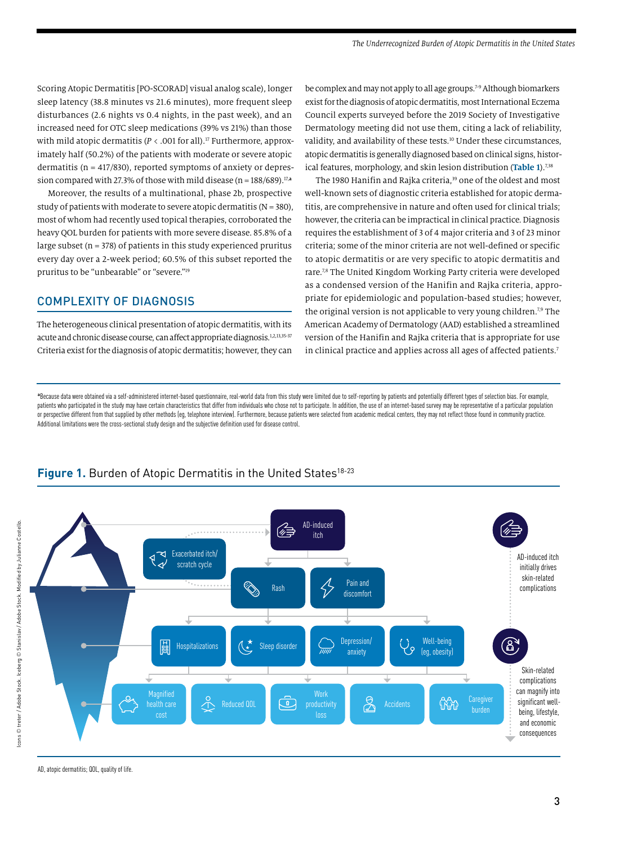Scoring Atopic Dermatitis [PO-SCORAD] visual analog scale), longer sleep latency (38.8 minutes vs 21.6 minutes), more frequent sleep disturbances (2.6 nights vs 0.4 nights, in the past week), and an increased need for OTC sleep medications (39% vs 21%) than those with mild atopic dermatitis ( $P < .001$  for all).<sup>17</sup> Furthermore, approximately half (50.2%) of the patients with moderate or severe atopic dermatitis ( $n = 417/830$ ), reported symptoms of anxiety or depression compared with 27.3% of those with mild disease (n = 188/689).17,**<sup>a</sup>**

Moreover, the results of a multinational, phase 2b, prospective study of patients with moderate to severe atopic dermatitis ( $N = 380$ ), most of whom had recently used topical therapies, corroborated the heavy QOL burden for patients with more severe disease. 85.8% of a large subset ( $n = 378$ ) of patients in this study experienced pruritus every day over a 2-week period; 60.5% of this subset reported the pruritus to be "unbearable" or "severe."19

## COMPLEXITY OF DIAGNOSIS

The heterogeneous clinical presentation of atopic dermatitis, with its acute and chronic disease course, can affect appropriate diagnosis.<sup>1,2,13,35-37</sup> Criteria exist for the diagnosis of atopic dermatitis; however, they can be complex and may not apply to all age groups.<sup>7-9</sup> Although biomarkers exist for the diagnosis of atopic dermatitis, most International Eczema Council experts surveyed before the 2019 Society of Investigative Dermatology meeting did not use them, citing a lack of reliability, validity, and availability of these tests.<sup>10</sup> Under these circumstances, atopic dermatitis is generally diagnosed based on clinical signs, historical features, morphology, and skin lesion distribution (Table 1).<sup>7,38</sup>

The 1980 Hanifin and Rajka criteria,<sup>39</sup> one of the oldest and most well-known sets of diagnostic criteria established for atopic dermatitis, are comprehensive in nature and often used for clinical trials; however, the criteria can be impractical in clinical practice. Diagnosis requires the establishment of 3 of 4 major criteria and 3 of 23 minor criteria; some of the minor criteria are not well-defined or specific to atopic dermatitis or are very specific to atopic dermatitis and rare.<sup>7,8</sup> The United Kingdom Working Party criteria were developed as a condensed version of the Hanifin and Rajka criteria, appropriate for epidemiologic and population-based studies; however, the original version is not applicable to very young children.<sup>7,9</sup> The American Academy of Dermatology (AAD) established a streamlined version of the Hanifin and Rajka criteria that is appropriate for use in clinical practice and applies across all ages of affected patients.<sup>7</sup>

\*Because data were obtained via a self-administered internet-based questionnaire, real-world data from this study were limited due to self-reporting by patients and potentially different types of selection bias. For exampl patients who participated in the study may have certain characteristics that differ from individuals who chose not to participate. In addition, the use of an internet-based survey may be representative of a particular popu or perspective different from that supplied by other methods (eg, telephone interview). Furthermore, because patients were selected from academic medical centers, they may not reflect those found in community practice. Additional limitations were the cross-sectional study design and the subjective definition used for disease control.



## Figure 1. Burden of Atopic Dermatitis in the United States<sup>18-23</sup>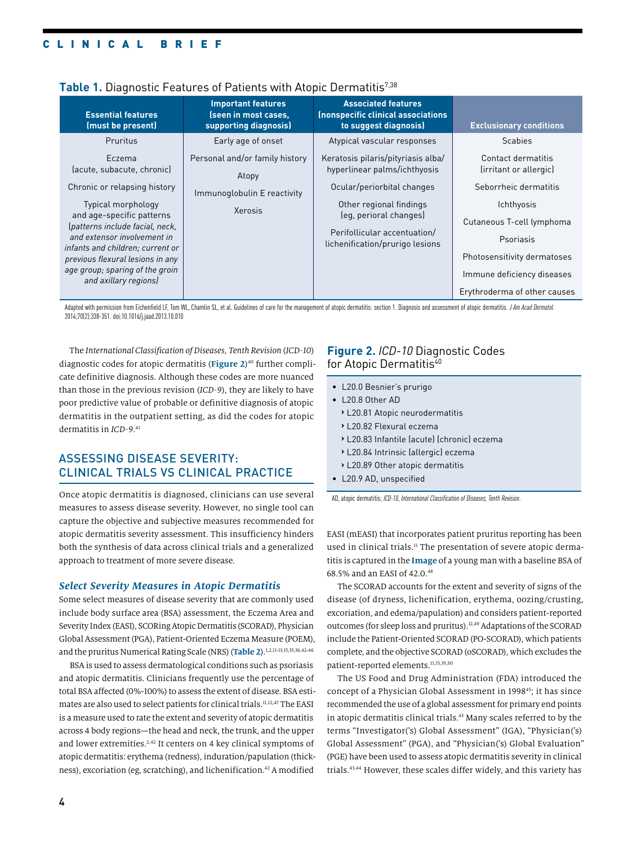| <b>Essential features</b><br>(must be present)                                                                                                                                                                                                        | <b>Important features</b><br>(seen in most cases,<br>supporting diagnosis) | <b>Associated features</b><br>Inonspecific clinical associations<br>to suggest diagnosis)                            | <b>Exclusionary conditions</b>                                                                                                                    |
|-------------------------------------------------------------------------------------------------------------------------------------------------------------------------------------------------------------------------------------------------------|----------------------------------------------------------------------------|----------------------------------------------------------------------------------------------------------------------|---------------------------------------------------------------------------------------------------------------------------------------------------|
| Pruritus                                                                                                                                                                                                                                              | Early age of onset                                                         | Atypical vascular responses                                                                                          | <b>Scabies</b>                                                                                                                                    |
| Eczema<br>(acute, subacute, chronic)<br>Chronic or relapsing history                                                                                                                                                                                  | Personal and/or family history<br>Atopy                                    | Keratosis pilaris/pityriasis alba/<br>hyperlinear palms/ichthyosis<br>Ocular/periorbital changes                     | Contact dermatitis<br>(irritant or allergic)<br>Seborrheic dermatitis                                                                             |
| Typical morphology<br>and age-specific patterns<br>(patterns include facial, neck,<br>and extensor involvement in<br>infants and children; current or<br>previous flexural lesions in any<br>age group; sparing of the groin<br>and axillary regions) | Immunoglobulin E reactivity<br>Xerosis                                     | Other regional findings<br>(eq. perioral changes)<br>Perifollicular accentuation/<br>lichenification/prurigo lesions | Ichthyosis<br>Cutaneous T-cell lymphoma<br>Psoriasis<br>Photosensitivity dermatoses<br>Immune deficiency diseases<br>Erythroderma of other causes |

## Table 1. Diagnostic Features of Patients with Atopic Dermatitis<sup>7,38</sup>

Adapted with permission from Eichenfield LF, Tom WL, Chamlin SL, et al. Guidelines of care for the management of atopic dermatitis: section 1. Diagnosis and assessment of atopic dermatitis. *J Am Acad Dermatol.* 2014;70(2):338-351. doi:10.1016/j.jaad.2013.10.010

The *International Classification of Diseases, Tenth Revision* (*ICD-10*) diagnostic codes for atopic dermatitis (**Figure 2**) 40 further complicate definitive diagnosis. Although these codes are more nuanced than those in the previous revision (*ICD-9*), they are likely to have poor predictive value of probable or definitive diagnosis of atopic dermatitis in the outpatient setting, as did the codes for atopic dermatitis in *ICD-9*. 41

## ASSESSING DISEASE SEVERITY: CLINICAL TRIALS VS CLINICAL PRACTICE

Once atopic dermatitis is diagnosed, clinicians can use several measures to assess disease severity. However, no single tool can capture the objective and subjective measures recommended for atopic dermatitis severity assessment. This insufficiency hinders both the synthesis of data across clinical trials and a generalized approach to treatment of more severe disease.

#### *Select Severity Measures in Atopic Dermatitis*

Some select measures of disease severity that are commonly used include body surface area (BSA) assessment, the Eczema Area and Severity Index (EASI), SCORing Atopic Dermatitis (SCORAD), Physician Global Assessment (PGA), Patient-Oriented Eczema Measure (POEM), and the pruritus Numerical Rating Scale (NRS) (**Table 2**).1,2,11-13,15,35,36,42-46

BSA is used to assess dermatological conditions such as psoriasis and atopic dermatitis. Clinicians frequently use the percentage of total BSA affected (0%-100%) to assess the extent of disease. BSA estimates are also used to select patients for clinical trials.11,12,47 The EASI is a measure used to rate the extent and severity of atopic dermatitis across 4 body regions—the head and neck, the trunk, and the upper and lower extremities.<sup>2,42</sup> It centers on 4 key clinical symptoms of atopic dermatitis: erythema (redness), induration/papulation (thickness), excoriation (eg, scratching), and lichenification.<sup>42</sup> A modified

## **Figure 2.** *ICD-10* Diagnostic Codes for Atopic Dermatitis<sup>40</sup>

- L20.0 Besnier's prurigo
- L20.8 Other AD
	- **›** L20.81 Atopic neurodermatitis
	- **›** L20.82 Flexural eczema
	- **›** L20.83 Infantile (acute) (chronic) eczema
	- **›** L20.84 Intrinsic (allergic) eczema
	- **›** L20.89 Other atopic dermatitis
- L20.9 AD, unspecified

AD, atopic dermatitis; *ICD-10*, *International Classification of Diseases, Tenth Revision*.

EASI (mEASI) that incorporates patient pruritus reporting has been used in clinical trials.<sup>11</sup> The presentation of severe atopic dermatitis is captured in the **Image** of a young man with a baseline BSA of 68.5% and an EASI of 42.0.48

The SCORAD accounts for the extent and severity of signs of the disease (of dryness, lichenification, erythema, oozing/crusting, excoriation, and edema/papulation) and considers patient-reported outcomes (for sleep loss and pruritus).12,49 Adaptations of the SCORAD include the Patient-Oriented SCORAD (PO-SCORAD), which patients complete, and the objective SCORAD (oSCORAD), which excludes the patient-reported elements.11,15,35,50

The US Food and Drug Administration (FDA) introduced the concept of a Physician Global Assessment in 1998<sup>45</sup>; it has since recommended the use of a global assessment for primary end points in atopic dermatitis clinical trials.<sup>43</sup> Many scales referred to by the terms "Investigator('s) Global Assessment" (IGA), "Physician('s) Global Assessment" (PGA), and "Physician('s) Global Evaluation" (PGE) have been used to assess atopic dermatitis severity in clinical trials.43,44 However, these scales differ widely, and this variety has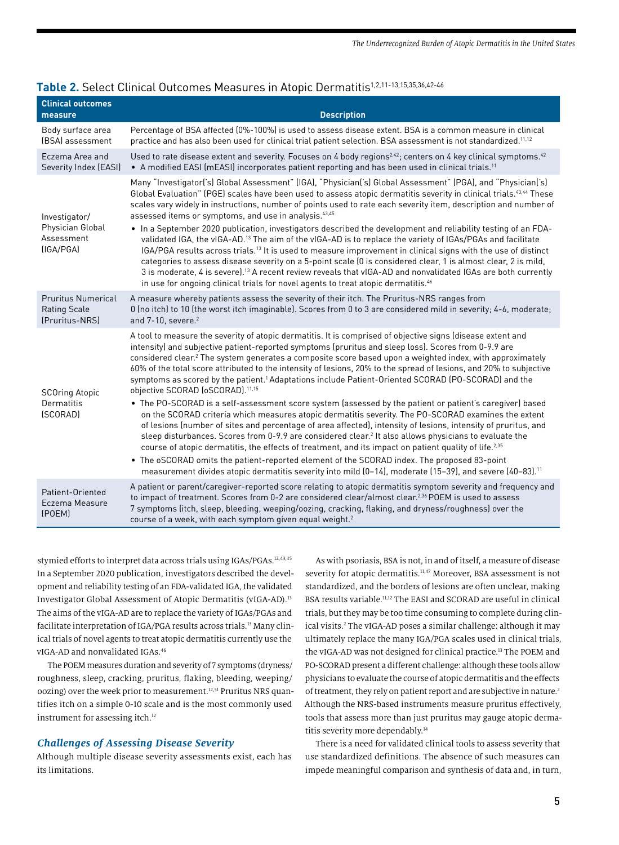| <b>Clinical outcomes</b><br>measure                                | <b>Description</b>                                                                                                                                                                                                                                                                                                                                                                                                                                                                                                                                                                                                                                                                                                                                                                                                                                                                                                                                                                                                                                                                                                                                            |
|--------------------------------------------------------------------|---------------------------------------------------------------------------------------------------------------------------------------------------------------------------------------------------------------------------------------------------------------------------------------------------------------------------------------------------------------------------------------------------------------------------------------------------------------------------------------------------------------------------------------------------------------------------------------------------------------------------------------------------------------------------------------------------------------------------------------------------------------------------------------------------------------------------------------------------------------------------------------------------------------------------------------------------------------------------------------------------------------------------------------------------------------------------------------------------------------------------------------------------------------|
| Body surface area<br>(BSA) assessment                              | Percentage of BSA affected (0%-100%) is used to assess disease extent. BSA is a common measure in clinical<br>practice and has also been used for clinical trial patient selection. BSA assessment is not standardized. <sup>11,12</sup>                                                                                                                                                                                                                                                                                                                                                                                                                                                                                                                                                                                                                                                                                                                                                                                                                                                                                                                      |
| Eczema Area and<br>Severity Index (EASI)                           | Used to rate disease extent and severity. Focuses on 4 body regions <sup>2,42</sup> ; centers on 4 key clinical symptoms. <sup>42</sup><br>• A modified EASI (mEASI) incorporates patient reporting and has been used in clinical trials. <sup>11</sup>                                                                                                                                                                                                                                                                                                                                                                                                                                                                                                                                                                                                                                                                                                                                                                                                                                                                                                       |
| Investigator/<br>Physician Global<br>Assessment<br>(IGA/PGA)       | Many "Investigator('s) Global Assessment" (IGA), "Physician('s) Global Assessment" (PGA), and "Physician('s)<br>Global Evaluation" (PGE) scales have been used to assess atopic dermatitis severity in clinical trials. <sup>43,44</sup> These<br>scales vary widely in instructions, number of points used to rate each severity item, description and number of<br>assessed items or symptoms, and use in analysis. <sup>43,45</sup><br>• In a September 2020 publication, investigators described the development and reliability testing of an FDA-<br>validated IGA, the vIGA-AD. <sup>13</sup> The aim of the vIGA-AD is to replace the variety of IGAs/PGAs and facilitate<br>IGA/PGA results across trials. <sup>13</sup> It is used to measure improvement in clinical signs with the use of distinct<br>categories to assess disease severity on a 5-point scale (0 is considered clear, 1 is almost clear, 2 is mild,<br>3 is moderate, 4 is severe). <sup>13</sup> A recent review reveals that vIGA-AD and nonvalidated IGAs are both currently<br>in use for ongoing clinical trials for novel agents to treat atopic dermatitis. <sup>46</sup> |
| <b>Pruritus Numerical</b><br><b>Rating Scale</b><br>(Pruritus-NRS) | A measure whereby patients assess the severity of their itch. The Pruritus-NRS ranges from<br>0 (no itch) to 10 (the worst itch imaginable). Scores from 0 to 3 are considered mild in severity; 4-6, moderate;<br>and $7-10$ , severe. $2$                                                                                                                                                                                                                                                                                                                                                                                                                                                                                                                                                                                                                                                                                                                                                                                                                                                                                                                   |
| <b>SCOring Atopic</b><br>Dermatitis<br>(SCORAD)                    | A tool to measure the severity of atopic dermatitis. It is comprised of objective signs (disease extent and<br>intensity) and subjective patient-reported symptoms (pruritus and sleep loss). Scores from 0-9.9 are<br>considered clear. <sup>2</sup> The system generates a composite score based upon a weighted index, with approximately<br>60% of the total score attributed to the intensity of lesions, 20% to the spread of lesions, and 20% to subjective<br>symptoms as scored by the patient. <sup>1</sup> Adaptations include Patient-Oriented SCORAD (PO-SCORAD) and the<br>objective SCORAD (oSCORAD). <sup>11,15</sup>                                                                                                                                                                                                                                                                                                                                                                                                                                                                                                                         |
|                                                                    | • The PO-SCORAD is a self-assessment score system (assessed by the patient or patient's caregiver) based<br>on the SCORAD criteria which measures atopic dermatitis severity. The PO-SCORAD examines the extent<br>of lesions (number of sites and percentage of area affected), intensity of lesions, intensity of pruritus, and<br>sleep disturbances. Scores from 0-9.9 are considered clear. <sup>2</sup> It also allows physicians to evaluate the<br>course of atopic dermatitis, the effects of treatment, and its impact on patient quality of life. <sup>2,35</sup><br>• The oSCORAD omits the patient-reported element of the SCORAD index. The proposed 83-point<br>measurement divides atopic dermatitis severity into mild (0-14), moderate (15-39), and severe (40-83). <sup>11</sup>                                                                                                                                                                                                                                                                                                                                                           |
| Patient-Oriented<br>Eczema Measure<br>(POEM)                       | A patient or parent/caregiver-reported score relating to atopic dermatitis symptom severity and frequency and<br>to impact of treatment. Scores from 0-2 are considered clear/almost clear. <sup>2,36</sup> POEM is used to assess<br>7 symptoms (itch, sleep, bleeding, weeping/oozing, cracking, flaking, and dryness/roughness) over the<br>course of a week, with each symptom given equal weight. <sup>2</sup>                                                                                                                                                                                                                                                                                                                                                                                                                                                                                                                                                                                                                                                                                                                                           |

## **Table 2.** Select Clinical Outcomes Measures in Atopic Dermatitis1,2,11-13,15,35,36,42-46

stymied efforts to interpret data across trials using IGAs/PGAs.12,43,45 In a September 2020 publication, investigators described the development and reliability testing of an FDA-validated IGA, the validated Investigator Global Assessment of Atopic Dermatitis (vIGA-AD).13 The aims of the vIGA-AD are to replace the variety of IGAs/PGAs and facilitate interpretation of IGA/PGA results across trials.<sup>13</sup> Many clinical trials of novel agents to treat atopic dermatitis currently use the vIGA-AD and nonvalidated IGAs.46

The POEM measures duration and severity of 7 symptoms (dryness/ roughness, sleep, cracking, pruritus, flaking, bleeding, weeping/ oozing) over the week prior to measurement.<sup>12,51</sup> Pruritus NRS quantifies itch on a simple 0-10 scale and is the most commonly used instrument for assessing itch.<sup>12</sup>

### *Challenges of Assessing Disease Severity*

Although multiple disease severity assessments exist, each has its limitations.

As with psoriasis, BSA is not, in and of itself, a measure of disease severity for atopic dermatitis.<sup>11,47</sup> Moreover, BSA assessment is not standardized, and the borders of lesions are often unclear, making BSA results variable.<sup>11,12</sup> The EASI and SCORAD are useful in clinical trials, but they may be too time consuming to complete during clinical visits.<sup>2</sup> The vIGA-AD poses a similar challenge: although it may ultimately replace the many IGA/PGA scales used in clinical trials, the vIGA-AD was not designed for clinical practice.<sup>13</sup> The POEM and PO-SCORAD present a different challenge: although these tools allow physicians to evaluate the course of atopic dermatitis and the effects of treatment, they rely on patient report and are subjective in nature.2 Although the NRS-based instruments measure pruritus effectively, tools that assess more than just pruritus may gauge atopic dermatitis severity more dependably.14

There is a need for validated clinical tools to assess severity that use standardized definitions. The absence of such measures can impede meaningful comparison and synthesis of data and, in turn,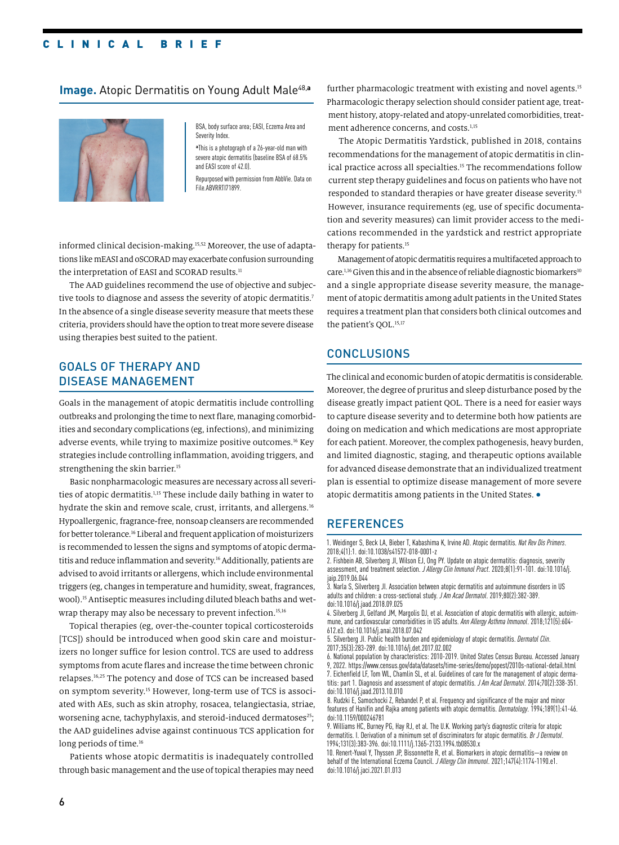## CLINICAL BRIEF

### **Image.** Atopic Dermatitis on Young Adult Male<sup>48,a</sup>



BSA, body surface area; EASI, Eczema Area and Severity Index.

**a** This is a photograph of a 26-year-old man with severe atopic dermatitis (baseline BSA of 68.5% and EASI score of 42.0).

Repurposed with permission from AbbVie. Data on File.ABVRRTI71899.

informed clinical decision-making.15,52 Moreover, the use of adaptations like mEASI and oSCORAD may exacerbate confusion surrounding the interpretation of EASI and SCORAD results.<sup>11</sup>

The AAD guidelines recommend the use of objective and subjective tools to diagnose and assess the severity of atopic dermatitis.<sup>7</sup> In the absence of a single disease severity measure that meets these criteria, providers should have the option to treat more severe disease using therapies best suited to the patient.

## GOALS OF THERAPY AND DISEASE MANAGEMENT

Goals in the management of atopic dermatitis include controlling outbreaks and prolonging the time to next flare, managing comorbidities and secondary complications (eg, infections), and minimizing adverse events, while trying to maximize positive outcomes.16 Key strategies include controlling inflammation, avoiding triggers, and strengthening the skin barrier.<sup>15</sup>

Basic nonpharmacologic measures are necessary across all severities of atopic dermatitis.1,15 These include daily bathing in water to hydrate the skin and remove scale, crust, irritants, and allergens.<sup>16</sup> Hypoallergenic, fragrance-free, nonsoap cleansers are recommended for better tolerance.16 Liberal and frequent application of moisturizers is recommended to lessen the signs and symptoms of atopic dermatitis and reduce inflammation and severity.<sup>16</sup> Additionally, patients are advised to avoid irritants or allergens, which include environmental triggers (eg, changes in temperature and humidity, sweat, fragrances, wool).15 Antiseptic measures including diluted bleach baths and wetwrap therapy may also be necessary to prevent infection.<sup>15,16</sup>

Topical therapies (eg, over-the-counter topical corticosteroids [TCS]) should be introduced when good skin care and moisturizers no longer suffice for lesion control. TCS are used to address symptoms from acute flares and increase the time between chronic relapses.16,25 The potency and dose of TCS can be increased based on symptom severity.15 However, long-term use of TCS is associated with AEs, such as skin atrophy, rosacea, telangiectasia, striae, worsening acne, tachyphylaxis, and steroid-induced dermatoses<sup>25</sup>; the AAD guidelines advise against continuous TCS application for long periods of time.<sup>16</sup>

Patients whose atopic dermatitis is inadequately controlled through basic management and the use of topical therapies may need further pharmacologic treatment with existing and novel agents.<sup>15</sup> Pharmacologic therapy selection should consider patient age, treatment history, atopy-related and atopy-unrelated comorbidities, treatment adherence concerns, and costs.<sup>1,15</sup>

The Atopic Dermatitis Yardstick, published in 2018, contains recommendations for the management of atopic dermatitis in clinical practice across all specialties.<sup>15</sup> The recommendations follow current step therapy guidelines and focus on patients who have not responded to standard therapies or have greater disease severity.15 However, insurance requirements (eg, use of specific documentation and severity measures) can limit provider access to the medications recommended in the yardstick and restrict appropriate therapy for patients.<sup>15</sup>

Management of atopic dermatitis requires a multifaceted approach to care.<sup>1,16</sup> Given this and in the absence of reliable diagnostic biomarkers<sup>10</sup> and a single appropriate disease severity measure, the management of atopic dermatitis among adult patients in the United States requires a treatment plan that considers both clinical outcomes and the patient's OOL.<sup>15,17</sup>

## CONCLUSIONS

The clinical and economic burden of atopic dermatitis is considerable. Moreover, the degree of pruritus and sleep disturbance posed by the disease greatly impact patient QOL. There is a need for easier ways to capture disease severity and to determine both how patients are doing on medication and which medications are most appropriate for each patient. Moreover, the complex pathogenesis, heavy burden, and limited diagnostic, staging, and therapeutic options available for advanced disease demonstrate that an individualized treatment plan is essential to optimize disease management of more severe atopic dermatitis among patients in the United States. •

### **REFERENCES**

1. Weidinger S, Beck LA, Bieber T, Kabashima K, Irvine AD. Atopic dermatitis. *Nat Rev Dis Primers*. 2018;4(1):1. doi:10.1038/s41572-018-0001-z

2. Fishbein AB, Silverberg JI, Wilson EJ, Ong PY. Update on atopic dermatitis: diagnosis, severity assessment, and treatment selection. *J Allergy Clin Immunol Pract*. 2020;8(1):91-101. doi:10.1016/j. iain.2019.06.044

3. Narla S, Silverberg JI. Association between atopic dermatitis and autoimmune disorders in US adults and children: a cross-sectional study. *J Am Acad Dermatol*. 2019;80(2):382-389. doi:10.1016/j.jaad.2018.09.025

4. Silverberg JI, Gelfand JM, Margolis DJ, et al. Association of atopic dermatitis with allergic, autoimmune, and cardiovascular comorbidities in US adults. *Ann Allergy Asthma Immunol*. 2018;121(5):604- 612.e3. doi:10.1016/j.anai.2018.07.042

5. Silverberg JI. Public health burden and epidemiology of atopic dermatitis. *Dermatol Clin*. 2017;35(3):283-289. doi:10.1016/j.det.2017.02.002

6. National population by characteristics: 2010-2019. United States Census Bureau. Accessed January 9, 2022. https://www.census.gov/data/datasets/time-series/demo/popest/2010s-national-detail.html 7. Eichenfield LF, Tom WL, Chamlin SL, et al. Guidelines of care for the management of atopic dermatitis: part 1. Diagnosis and assessment of atopic dermatitis. *J Am Acad Dermatol*. 2014;70(2):338-351. doi:10.1016/j.jaad.2013.10.010

8. Rudzki E, Samochocki Z, Rebandel P, et al. Frequency and significance of the major and minor features of Hanifin and Rajka among patients with atopic dermatitis. *Dermatology*. 1994;189(1):41-46. doi:10.1159/000246781

9. Williams HC, Burney PG, Hay RJ, et al. The U.K. Working party's diagnostic criteria for atopic dermatitis. I. Derivation of a minimum set of discriminators for atopic dermatitis. *Br J Dermatol*. 1994;131(3):383-396. doi:10.1111/j.1365-2133.1994.tb08530.x

10. Renert-Yuval Y, Thyssen JP, Bissonnette R, et al. Biomarkers in atopic dermatitis—a review on behalf of the International Eczema Council. *J Allergy Clin Immunol*. 2021;147(4):1174-1190.e1. doi:10.1016/j.jaci.2021.01.013